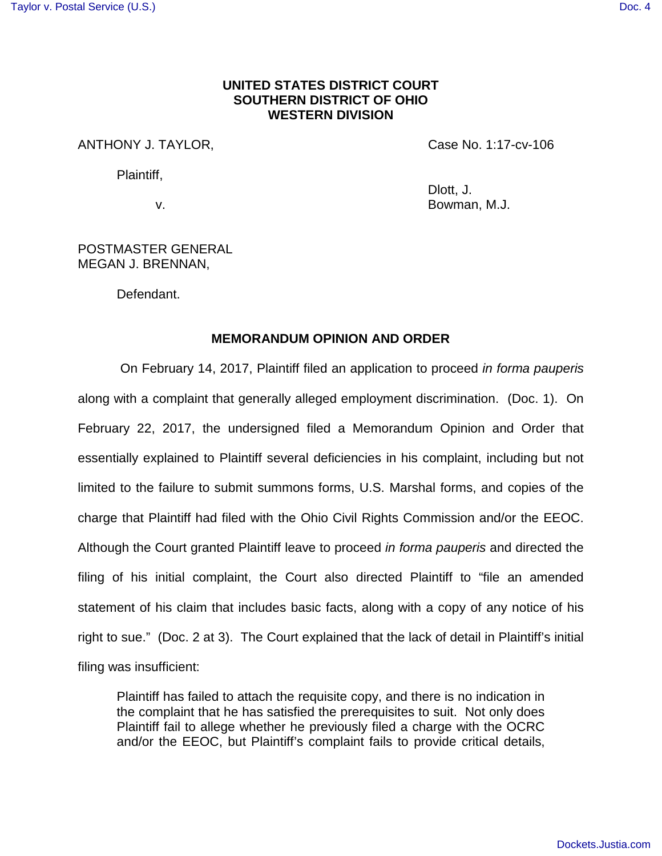## **UNITED STATES DISTRICT COURT SOUTHERN DISTRICT OF OHIO WESTERN DIVISION**

# ANTHONY J. TAYLOR, The Case No. 1:17-cv-106

Plaintiff,

Dlott, J. v. Bowman, M.J.

## POSTMASTER GENERAL MEGAN J. BRENNAN,

Defendant.

#### **MEMORANDUM OPINION AND ORDER**

On February 14, 2017, Plaintiff filed an application to proceed in forma pauperis along with a complaint that generally alleged employment discrimination. (Doc. 1). On February 22, 2017, the undersigned filed a Memorandum Opinion and Order that essentially explained to Plaintiff several deficiencies in his complaint, including but not limited to the failure to submit summons forms, U.S. Marshal forms, and copies of the charge that Plaintiff had filed with the Ohio Civil Rights Commission and/or the EEOC. Although the Court granted Plaintiff leave to proceed in forma pauperis and directed the filing of his initial complaint, the Court also directed Plaintiff to "file an amended statement of his claim that includes basic facts, along with a copy of any notice of his right to sue." (Doc. 2 at 3). The Court explained that the lack of detail in Plaintiff's initial filing was insufficient:

Plaintiff has failed to attach the requisite copy, and there is no indication in the complaint that he has satisfied the prerequisites to suit. Not only does Plaintiff fail to allege whether he previously filed a charge with the OCRC and/or the EEOC, but Plaintiff's complaint fails to provide critical details,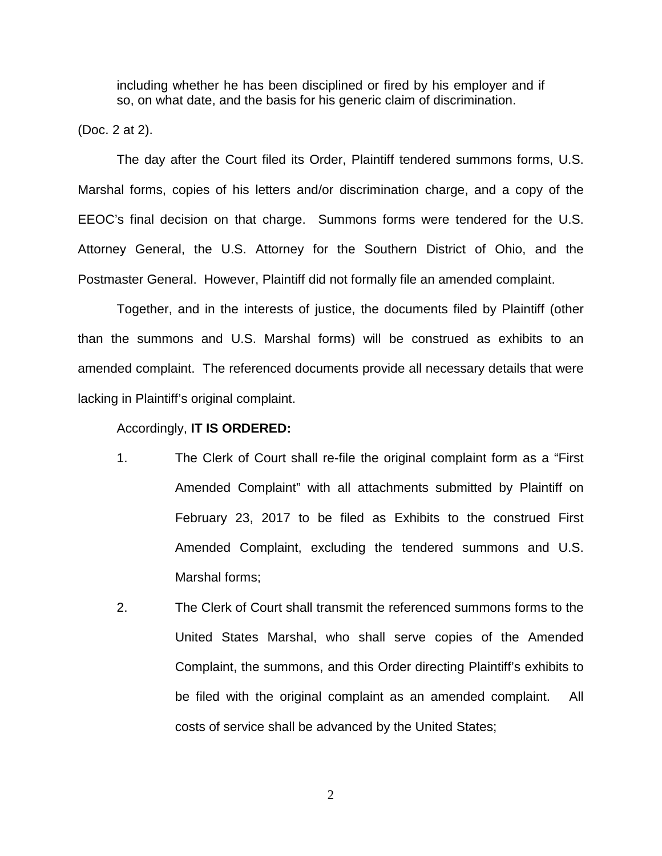including whether he has been disciplined or fired by his employer and if so, on what date, and the basis for his generic claim of discrimination.

(Doc. 2 at 2).

The day after the Court filed its Order, Plaintiff tendered summons forms, U.S. Marshal forms, copies of his letters and/or discrimination charge, and a copy of the EEOC's final decision on that charge. Summons forms were tendered for the U.S. Attorney General, the U.S. Attorney for the Southern District of Ohio, and the Postmaster General. However, Plaintiff did not formally file an amended complaint.

Together, and in the interests of justice, the documents filed by Plaintiff (other than the summons and U.S. Marshal forms) will be construed as exhibits to an amended complaint. The referenced documents provide all necessary details that were lacking in Plaintiff's original complaint.

#### Accordingly, **IT IS ORDERED:**

- 1. The Clerk of Court shall re-file the original complaint form as a "First Amended Complaint" with all attachments submitted by Plaintiff on February 23, 2017 to be filed as Exhibits to the construed First Amended Complaint, excluding the tendered summons and U.S. Marshal forms;
- 2. The Clerk of Court shall transmit the referenced summons forms to the United States Marshal, who shall serve copies of the Amended Complaint, the summons, and this Order directing Plaintiff's exhibits to be filed with the original complaint as an amended complaint. All costs of service shall be advanced by the United States;

2